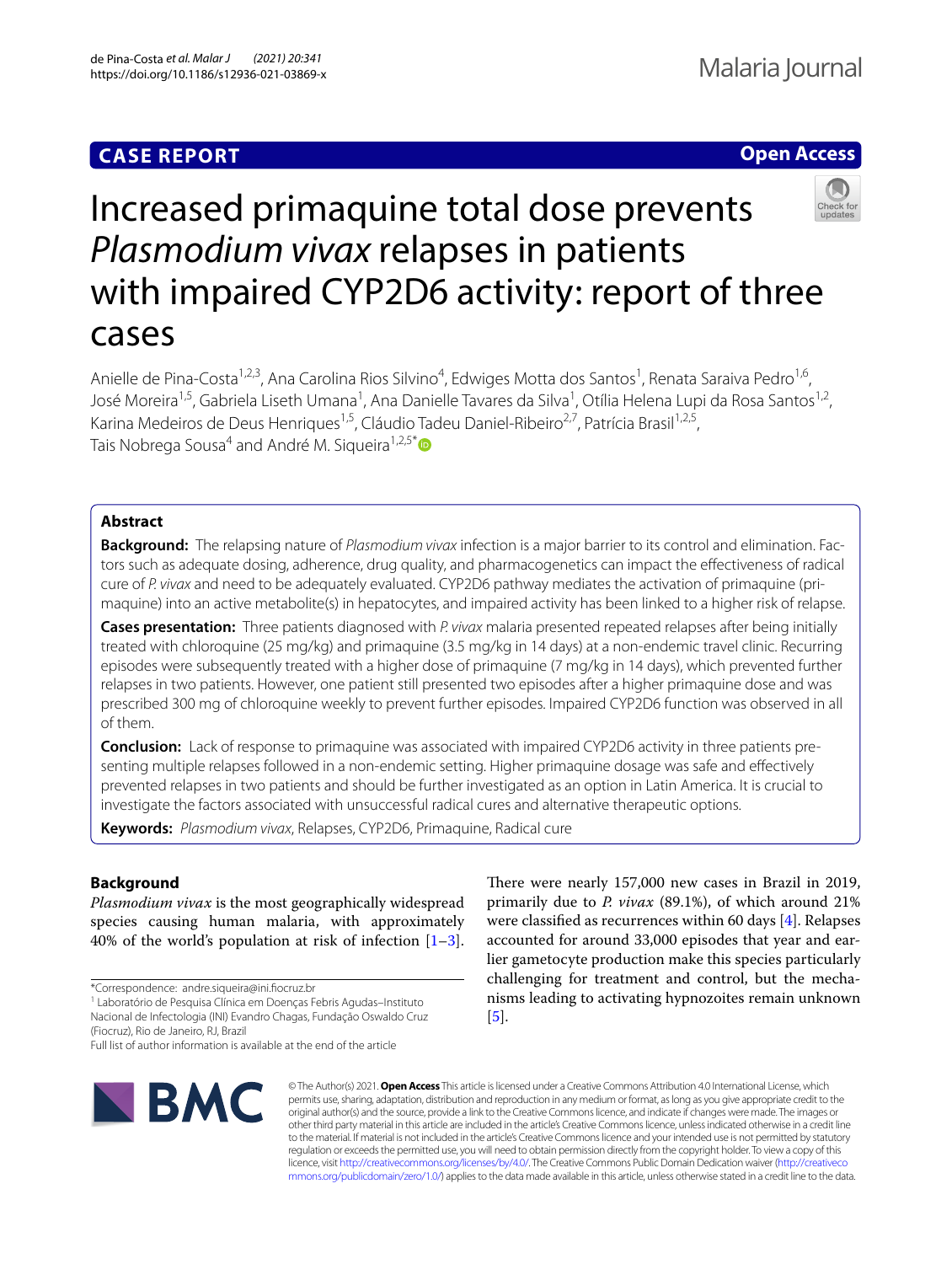# **CASE REPORT**

# **Open Access**



# Increased primaquine total dose prevents *Plasmodium vivax* relapses in patients with impaired CYP2D6 activity: report of three cases

Anielle de Pina-Costa<sup>1,2,3</sup>, Ana Carolina Rios Silvino<sup>4</sup>, Edwiges Motta dos Santos<sup>1</sup>, Renata Saraiva Pedro<sup>1,6</sup>, José Moreira<sup>1,5</sup>, Gabriela Liseth Umana<sup>1</sup>, Ana Danielle Tavares da Silva<sup>1</sup>, Otília Helena Lupi da Rosa Santos<sup>1,2</sup>, Karina Medeiros de Deus Henriques<sup>1,5</sup>, Cláudio Tadeu Daniel-Ribeiro<sup>2,7</sup>, Patrícia Brasil<sup>1,2,5</sup>, Tais Nobrega Sousa<sup>4</sup> and André M. Sigueira<sup>1,2,5[\\*](http://orcid.org/0000-0003-2208-0294)</sup>

# **Abstract**

**Background:** The relapsing nature of *Plasmodium vivax* infection is a major barrier to its control and elimination. Fac‑ tors such as adequate dosing, adherence, drug quality, and pharmacogenetics can impact the efectiveness of radical cure of *P. vivax* and need to be adequately evaluated. CYP2D6 pathway mediates the activation of primaquine (pri‑ maquine) into an active metabolite(s) in hepatocytes, and impaired activity has been linked to a higher risk of relapse.

**Cases presentation:** Three patients diagnosed with *P. vivax* malaria presented repeated relapses after being initially treated with chloroquine (25 mg/kg) and primaquine (3.5 mg/kg in 14 days) at a non-endemic travel clinic. Recurring episodes were subsequently treated with a higher dose of primaquine (7 mg/kg in 14 days), which prevented further relapses in two patients. However, one patient still presented two episodes after a higher primaquine dose and was prescribed 300 mg of chloroquine weekly to prevent further episodes. Impaired CYP2D6 function was observed in all of them.

**Conclusion:** Lack of response to primaquine was associated with impaired CYP2D6 activity in three patients presenting multiple relapses followed in a non-endemic setting. Higher primaquine dosage was safe and efectively prevented relapses in two patients and should be further investigated as an option in Latin America. It is crucial to investigate the factors associated with unsuccessful radical cures and alternative therapeutic options.

**Keywords:** *Plasmodium vivax*, Relapses, CYP2D6, Primaquine, Radical cure

# **Background**

*Plasmodium vivax* is the most geographically widespread species causing human malaria, with approximately 40% of the world's population at risk of infection  $[1-3]$  $[1-3]$ .

\*Correspondence: andre.siqueira@ini.focruz.br

1 Laboratório de Pesquisa Clínica em Doenças Febris Agudas–Instituto Nacional de Infectologia (INI) Evandro Chagas, Fundação Oswaldo Cruz (Fiocruz), Rio de Janeiro, RJ, Brazil

Full list of author information is available at the end of the article



There were nearly 157,000 new cases in Brazil in 2019, primarily due to *P. vivax* (89.1%), of which around 21% were classifed as recurrences within 60 days [\[4\]](#page-4-2). Relapses accounted for around 33,000 episodes that year and earlier gametocyte production make this species particularly challenging for treatment and control, but the mechanisms leading to activating hypnozoites remain unknown [[5\]](#page-4-3).

© The Author(s) 2021. **Open Access** This article is licensed under a Creative Commons Attribution 4.0 International License, which permits use, sharing, adaptation, distribution and reproduction in any medium or format, as long as you give appropriate credit to the original author(s) and the source, provide a link to the Creative Commons licence, and indicate if changes were made. The images or other third party material in this article are included in the article's Creative Commons licence, unless indicated otherwise in a credit line to the material. If material is not included in the article's Creative Commons licence and your intended use is not permitted by statutory regulation or exceeds the permitted use, you will need to obtain permission directly from the copyright holder. To view a copy of this licence, visit [http://creativecommons.org/licenses/by/4.0/.](http://creativecommons.org/licenses/by/4.0/) The Creative Commons Public Domain Dedication waiver ([http://creativeco](http://creativecommons.org/publicdomain/zero/1.0/) [mmons.org/publicdomain/zero/1.0/](http://creativecommons.org/publicdomain/zero/1.0/)) applies to the data made available in this article, unless otherwise stated in a credit line to the data.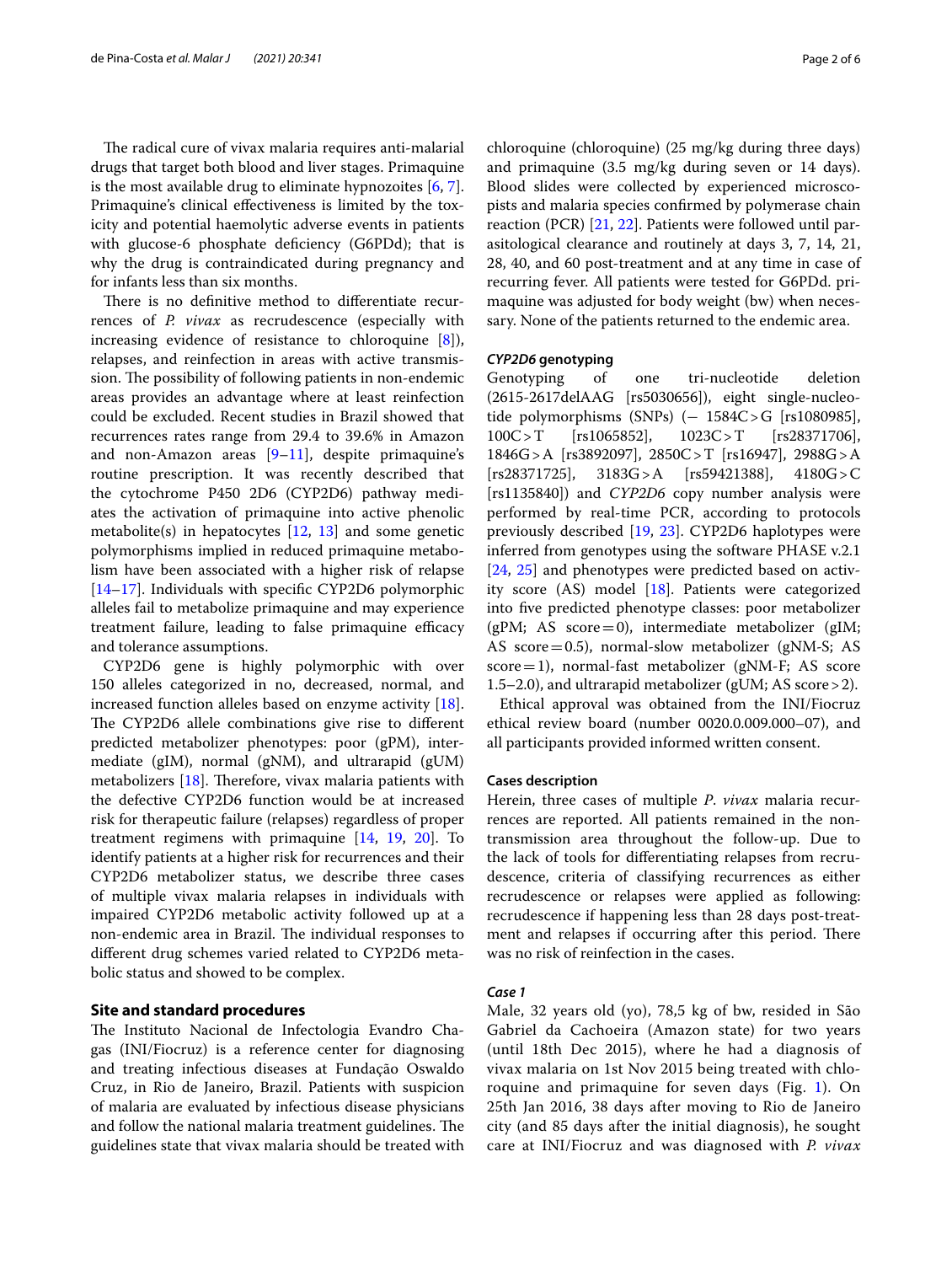The radical cure of vivax malaria requires anti-malarial drugs that target both blood and liver stages. Primaquine is the most available drug to eliminate hypnozoites [\[6](#page-4-4), [7](#page-4-4)]. Primaquine's clinical efectiveness is limited by the toxicity and potential haemolytic adverse events in patients with glucose-6 phosphate deficiency (G6PDd); that is why the drug is contraindicated during pregnancy and for infants less than six months.

There is no definitive method to differentiate recurrences of *P. vivax* as recrudescence (especially with increasing evidence of resistance to chloroquine [\[8\]](#page-4-5)), relapses, and reinfection in areas with active transmission. The possibility of following patients in non-endemic areas provides an advantage where at least reinfection could be excluded. Recent studies in Brazil showed that recurrences rates range from 29.4 to 39.6% in Amazon and non-Amazon areas  $[9-11]$  $[9-11]$  $[9-11]$ , despite primaquine's routine prescription. It was recently described that the cytochrome P450 2D6 (CYP2D6) pathway mediates the activation of primaquine into active phenolic metabolite(s) in hepatocytes [[12,](#page-4-8) [13\]](#page-4-8) and some genetic polymorphisms implied in reduced primaquine metabolism have been associated with a higher risk of relapse [[14–](#page-4-9)[17](#page-5-0)]. Individuals with specifc CYP2D6 polymorphic alleles fail to metabolize primaquine and may experience treatment failure, leading to false primaquine efficacy and tolerance assumptions.

CYP2D6 gene is highly polymorphic with over 150 alleles categorized in no, decreased, normal, and increased function alleles based on enzyme activity [\[18](#page-5-1)]. The CYP2D6 allele combinations give rise to different predicted metabolizer phenotypes: poor (gPM), intermediate (gIM), normal (gNM), and ultrarapid (gUM) metabolizers  $[18]$  $[18]$ . Therefore, vivax malaria patients with the defective CYP2D6 function would be at increased risk for therapeutic failure (relapses) regardless of proper treatment regimens with primaquine [[14,](#page-4-9) [19,](#page-5-2) [20](#page-5-3)]. To identify patients at a higher risk for recurrences and their CYP2D6 metabolizer status, we describe three cases of multiple vivax malaria relapses in individuals with impaired CYP2D6 metabolic activity followed up at a non-endemic area in Brazil. The individual responses to diferent drug schemes varied related to CYP2D6 metabolic status and showed to be complex.

# **Site and standard procedures**

The Instituto Nacional de Infectologia Evandro Chagas (INI/Fiocruz) is a reference center for diagnosing and treating infectious diseases at Fundação Oswaldo Cruz, in Rio de Janeiro, Brazil. Patients with suspicion of malaria are evaluated by infectious disease physicians and follow the national malaria treatment guidelines. The guidelines state that vivax malaria should be treated with chloroquine (chloroquine) (25 mg/kg during three days) and primaquine (3.5 mg/kg during seven or 14 days). Blood slides were collected by experienced microscopists and malaria species confrmed by polymerase chain reaction (PCR) [[21,](#page-5-4) [22\]](#page-5-4). Patients were followed until parasitological clearance and routinely at days 3, 7, 14, 21, 28, 40, and 60 post-treatment and at any time in case of recurring fever. All patients were tested for G6PDd. primaquine was adjusted for body weight (bw) when necessary. None of the patients returned to the endemic area.

## *CYP2D6* **genotyping**

Genotyping of one tri-nucleotide deletion (2615-2617delAAG [rs5030656]), eight single-nucleotide polymorphisms (SNPs) (− 1584C>G [rs1080985],<br>100C>T [rs1065852], 1023C>T [rs28371706],  $[rs28371706]$ , 1846G>A [rs3892097], 2850C>T [rs16947], 2988G>A [rs28371725], 3183G>A [rs59421388], 4180G>C [rs1135840]) and *CYP2D6* copy number analysis were performed by real-time PCR, according to protocols previously described [\[19,](#page-5-2) [23\]](#page-5-2). CYP2D6 haplotypes were inferred from genotypes using the software PHASE v.2.1 [[24,](#page-5-5) [25](#page-5-5)] and phenotypes were predicted based on activity score (AS) model [[18\]](#page-5-1). Patients were categorized into fve predicted phenotype classes: poor metabolizer ( $gPM$ ; AS score=0), intermediate metabolizer ( $gIM$ ; AS score=0.5), normal-slow metabolizer (gNM-S; AS score=1), normal-fast metabolizer (gNM-F; AS score 1.5–2.0), and ultrarapid metabolizer (gUM; AS score>2).

Ethical approval was obtained from the INI/Fiocruz ethical review board (number 0020.0.009.000–07), and all participants provided informed written consent.

### **Cases description**

Herein, three cases of multiple *P*. *vivax* malaria recurrences are reported. All patients remained in the nontransmission area throughout the follow-up. Due to the lack of tools for diferentiating relapses from recrudescence, criteria of classifying recurrences as either recrudescence or relapses were applied as following: recrudescence if happening less than 28 days post-treatment and relapses if occurring after this period. There was no risk of reinfection in the cases.

## *Case 1*

Male, 32 years old (yo), 78,5 kg of bw, resided in São Gabriel da Cachoeira (Amazon state) for two years (until 18th Dec 2015), where he had a diagnosis of vivax malaria on 1st Nov 2015 being treated with chloroquine and primaquine for seven days (Fig. [1\)](#page-2-0). On 25th Jan 2016, 38 days after moving to Rio de Janeiro city (and 85 days after the initial diagnosis), he sought care at INI/Fiocruz and was diagnosed with *P. vivax*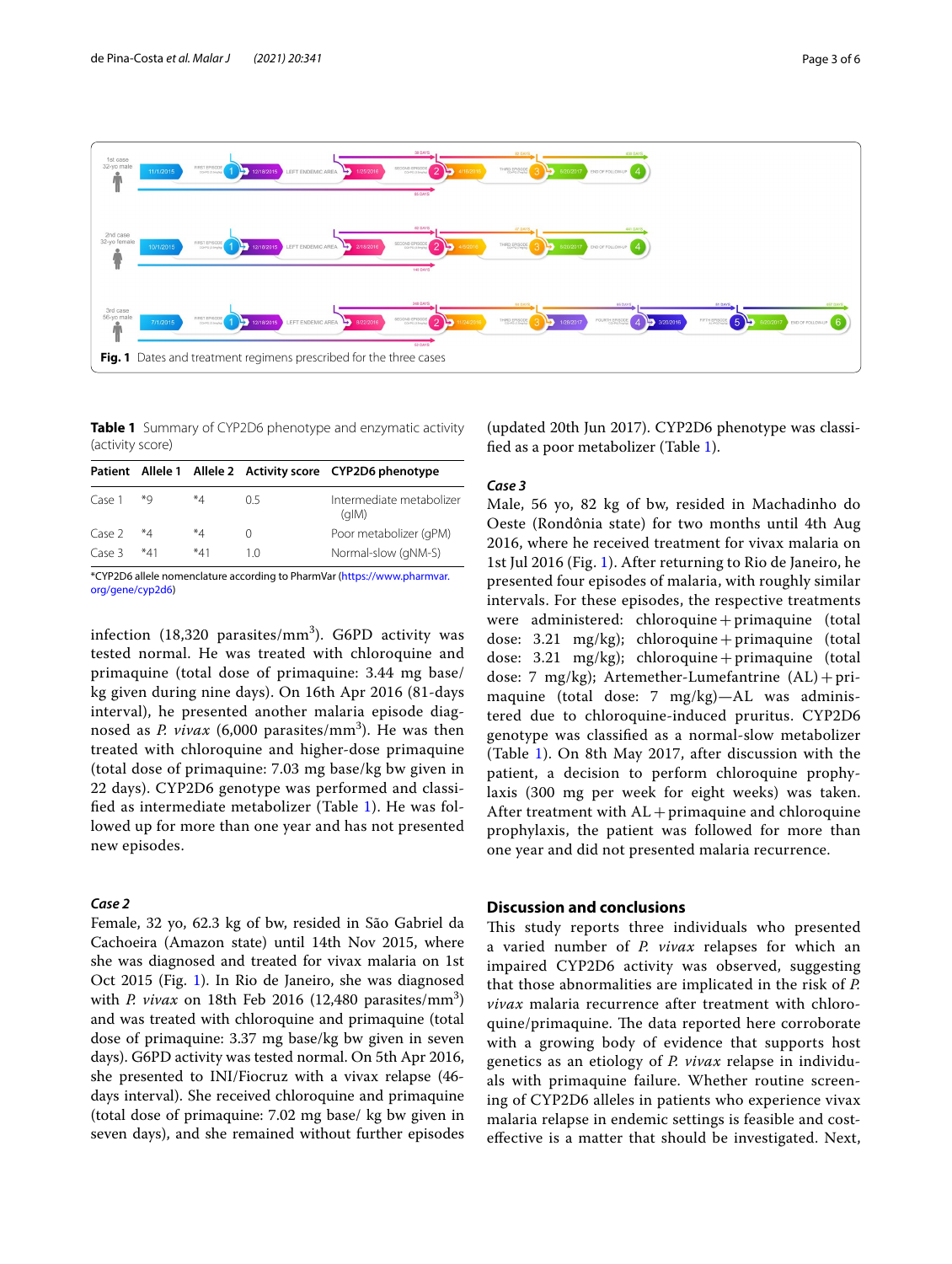

<span id="page-2-1"></span><span id="page-2-0"></span>**Table 1** Summary of CYP2D6 phenotype and enzymatic activity (activity score)

|        |       |       |     | Patient Allele 1 Allele 2 Activity score CYP2D6 phenotype |
|--------|-------|-------|-----|-----------------------------------------------------------|
| Case 1 | *Q    | *4    | 05  | Intermediate metabolizer<br>(dIM)                         |
| Case 2 | *4    | *4    |     | Poor metabolizer (qPM)                                    |
| Case 3 | $*41$ | $*41$ | 1 ∩ | Normal-slow (gNM-S)                                       |

\*CYP2D6 allele nomenclature according to PharmVar ([https://www.pharmvar.](https://www.pharmvar.org/gene/cyp2d6) [org/gene/cyp2d6\)](https://www.pharmvar.org/gene/cyp2d6)

infection (18,320 parasites/ $\text{mm}^3$ ). G6PD activity was tested normal. He was treated with chloroquine and primaquine (total dose of primaquine: 3.44 mg base/ kg given during nine days). On 16th Apr 2016 (81-days interval), he presented another malaria episode diagnosed as *P. vivax* (6,000 parasites/mm<sup>3</sup>). He was then treated with chloroquine and higher-dose primaquine (total dose of primaquine: 7.03 mg base/kg bw given in 22 days). CYP2D6 genotype was performed and classifed as intermediate metabolizer (Table [1\)](#page-2-1). He was followed up for more than one year and has not presented new episodes.

# *Case 2*

Female, 32 yo, 62.3 kg of bw, resided in São Gabriel da Cachoeira (Amazon state) until 14th Nov 2015, where she was diagnosed and treated for vivax malaria on 1st Oct 2015 (Fig. [1\)](#page-2-0). In Rio de Janeiro, she was diagnosed with *P. vivax* on 18th Feb 2016 (12,480 parasites/ $\text{mm}^3$ ) and was treated with chloroquine and primaquine (total dose of primaquine: 3.37 mg base/kg bw given in seven days). G6PD activity was tested normal. On 5th Apr 2016, she presented to INI/Fiocruz with a vivax relapse (46 days interval). She received chloroquine and primaquine (total dose of primaquine: 7.02 mg base/ kg bw given in seven days), and she remained without further episodes

(updated 20th Jun 2017). CYP2D6 phenotype was classifed as a poor metabolizer (Table [1](#page-2-1)).

## *Case 3*

Male, 56 yo, 82 kg of bw, resided in Machadinho do Oeste (Rondônia state) for two months until 4th Aug 2016, where he received treatment for vivax malaria on 1st Jul 2016 (Fig. [1\)](#page-2-0). After returning to Rio de Janeiro, he presented four episodes of malaria, with roughly similar intervals. For these episodes, the respective treatments were administered: chloroquine+primaquine (total dose: 3.21  $mg/kg$ ); chloroquine + primaquine (total dose: 3.21  $mg/kg$ ); chloroquine + primaquine (total dose: 7  $mg/kg$ ); Artemether-Lumefantrine  $(AL) + pri$ maquine (total dose: 7 mg/kg)—AL was administered due to chloroquine-induced pruritus. CYP2D6 genotype was classifed as a normal-slow metabolizer (Table [1\)](#page-2-1). On 8th May 2017, after discussion with the patient, a decision to perform chloroquine prophylaxis (300 mg per week for eight weeks) was taken. After treatment with  $AL +$  primaguine and chloroquine prophylaxis, the patient was followed for more than one year and did not presented malaria recurrence.

# **Discussion and conclusions**

This study reports three individuals who presented a varied number of *P. vivax* relapses for which an impaired CYP2D6 activity was observed, suggesting that those abnormalities are implicated in the risk of *P. vivax* malaria recurrence after treatment with chloroquine/primaquine. The data reported here corroborate with a growing body of evidence that supports host genetics as an etiology of *P. vivax* relapse in individuals with primaquine failure. Whether routine screening of CYP2D6 alleles in patients who experience vivax malaria relapse in endemic settings is feasible and costefective is a matter that should be investigated. Next,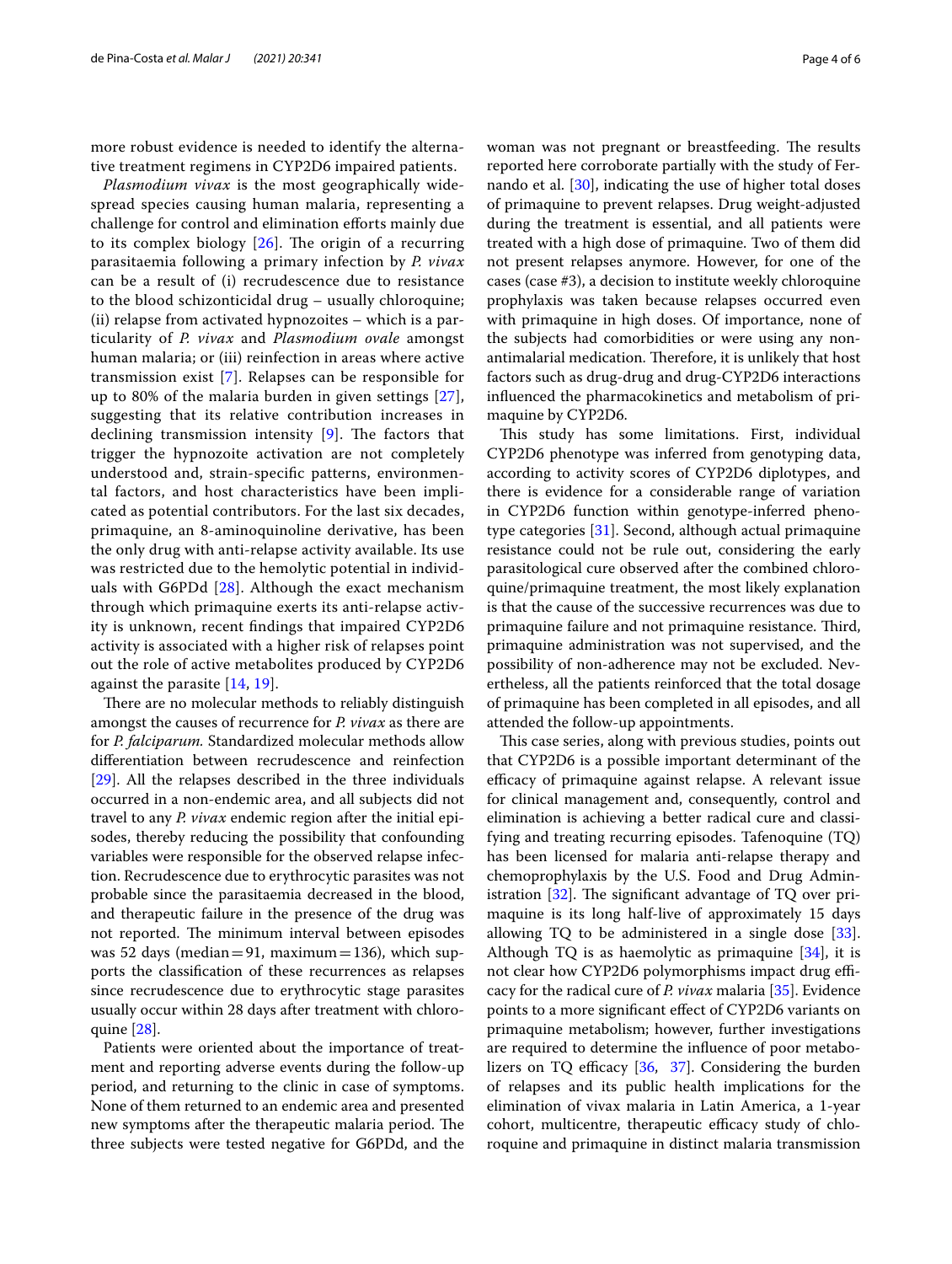more robust evidence is needed to identify the alternative treatment regimens in CYP2D6 impaired patients.

*Plasmodium vivax* is the most geographically widespread species causing human malaria, representing a challenge for control and elimination eforts mainly due to its complex biology  $[26]$  $[26]$ . The origin of a recurring parasitaemia following a primary infection by *P. vivax* can be a result of (i) recrudescence due to resistance to the blood schizonticidal drug – usually chloroquine; (ii) relapse from activated hypnozoites – which is a particularity of *P. vivax* and *Plasmodium ovale* amongst human malaria; or (iii) reinfection in areas where active transmission exist [[7\]](#page-4-10). Relapses can be responsible for up to 80% of the malaria burden in given settings [[27\]](#page-5-7), suggesting that its relative contribution increases in declining transmission intensity  $[9]$  $[9]$  $[9]$ . The factors that trigger the hypnozoite activation are not completely understood and, strain-specifc patterns, environmental factors, and host characteristics have been implicated as potential contributors. For the last six decades, primaquine, an 8-aminoquinoline derivative, has been the only drug with anti-relapse activity available. Its use was restricted due to the hemolytic potential in individuals with G6PDd  $[28]$  $[28]$  $[28]$ . Although the exact mechanism through which primaquine exerts its anti-relapse activity is unknown, recent fndings that impaired CYP2D6 activity is associated with a higher risk of relapses point out the role of active metabolites produced by CYP2D6 against the parasite [[14,](#page-4-9) [19\]](#page-4-9).

There are no molecular methods to reliably distinguish amongst the causes of recurrence for *P. vivax* as there are for *P. falciparum.* Standardized molecular methods allow diferentiation between recrudescence and reinfection [[29\]](#page-5-9). All the relapses described in the three individuals occurred in a non-endemic area, and all subjects did not travel to any *P. vivax* endemic region after the initial episodes, thereby reducing the possibility that confounding variables were responsible for the observed relapse infection. Recrudescence due to erythrocytic parasites was not probable since the parasitaemia decreased in the blood, and therapeutic failure in the presence of the drug was not reported. The minimum interval between episodes was 52 days (median=91, maximum=136), which supports the classifcation of these recurrences as relapses since recrudescence due to erythrocytic stage parasites usually occur within 28 days after treatment with chloroquine [\[28](#page-5-8)].

Patients were oriented about the importance of treatment and reporting adverse events during the follow-up period, and returning to the clinic in case of symptoms. None of them returned to an endemic area and presented new symptoms after the therapeutic malaria period. The three subjects were tested negative for G6PDd, and the woman was not pregnant or breastfeeding. The results reported here corroborate partially with the study of Fernando et al. [\[30](#page-5-10)], indicating the use of higher total doses of primaquine to prevent relapses. Drug weight-adjusted during the treatment is essential, and all patients were treated with a high dose of primaquine. Two of them did not present relapses anymore. However, for one of the cases (case #3), a decision to institute weekly chloroquine prophylaxis was taken because relapses occurred even with primaquine in high doses. Of importance, none of the subjects had comorbidities or were using any nonantimalarial medication. Therefore, it is unlikely that host factors such as drug-drug and drug-CYP2D6 interactions infuenced the pharmacokinetics and metabolism of primaquine by CYP2D6.

This study has some limitations. First, individual CYP2D6 phenotype was inferred from genotyping data, according to activity scores of CYP2D6 diplotypes, and there is evidence for a considerable range of variation in CYP2D6 function within genotype-inferred phenotype categories [\[31](#page-5-11)]. Second, although actual primaquine resistance could not be rule out, considering the early parasitological cure observed after the combined chloroquine/primaquine treatment, the most likely explanation is that the cause of the successive recurrences was due to primaquine failure and not primaquine resistance. Third, primaquine administration was not supervised, and the possibility of non-adherence may not be excluded. Nevertheless, all the patients reinforced that the total dosage of primaquine has been completed in all episodes, and all attended the follow-up appointments.

This case series, along with previous studies, points out that CYP2D6 is a possible important determinant of the efficacy of primaquine against relapse. A relevant issue for clinical management and, consequently, control and elimination is achieving a better radical cure and classifying and treating recurring episodes. Tafenoquine (TQ) has been licensed for malaria anti-relapse therapy and chemoprophylaxis by the U.S. Food and Drug Administration  $[32]$  $[32]$  $[32]$ . The significant advantage of TQ over primaquine is its long half-live of approximately 15 days allowing TQ to be administered in a single dose [\[33](#page-5-13)]. Although TQ is as haemolytic as primaquine  $[34]$  $[34]$ , it is not clear how CYP2D6 polymorphisms impact drug efficacy for the radical cure of *P. vivax* malaria [\[35](#page-5-15)]. Evidence points to a more signifcant efect of CYP2D6 variants on primaquine metabolism; however, further investigations are required to determine the infuence of poor metabolizers on TQ efficacy  $[36, 37]$  $[36, 37]$  $[36, 37]$  $[36, 37]$  $[36, 37]$ . Considering the burden of relapses and its public health implications for the elimination of vivax malaria in Latin America, a 1-year cohort, multicentre, therapeutic efficacy study of chloroquine and primaquine in distinct malaria transmission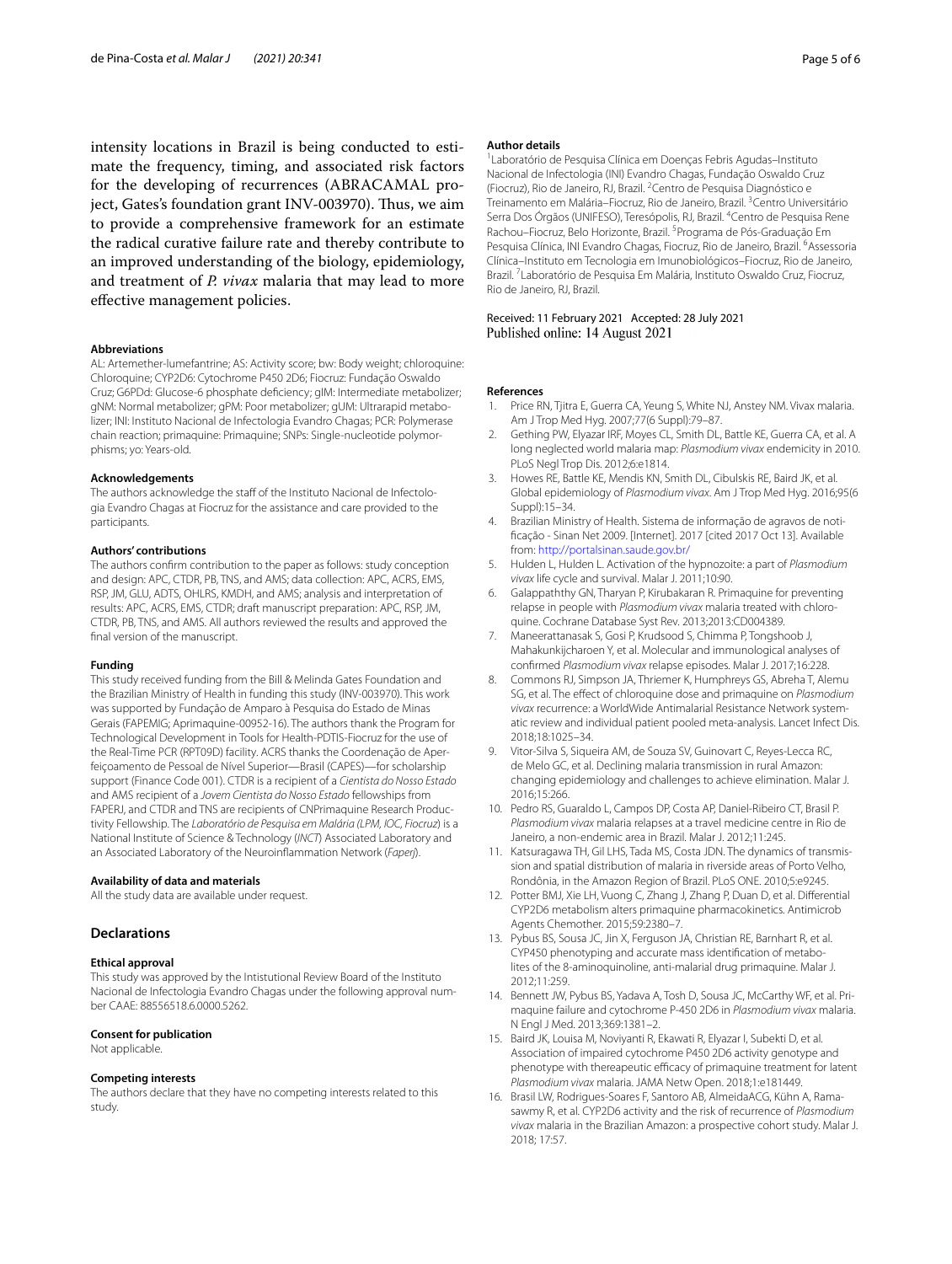intensity locations in Brazil is being conducted to estimate the frequency, timing, and associated risk factors for the developing of recurrences (ABRACAMAL project, Gates's foundation grant INV-003970). Thus, we aim to provide a comprehensive framework for an estimate the radical curative failure rate and thereby contribute to an improved understanding of the biology, epidemiology, and treatment of *P. vivax* malaria that may lead to more efective management policies.

#### **Abbreviations**

AL: Artemether-lumefantrine; AS: Activity score; bw: Body weight; chloroquine: Chloroquine; CYP2D6: Cytochrome P450 2D6; Fiocruz: Fundação Oswaldo Cruz; G6PDd: Glucose-6 phosphate defciency; gIM: Intermediate metabolizer; gNM: Normal metabolizer; gPM: Poor metabolizer; gUM: Ultrarapid metabolizer; INI: Instituto Nacional de Infectologia Evandro Chagas; PCR: Polymerase chain reaction; primaquine: Primaquine; SNPs: Single-nucleotide polymorphisms; yo: Years-old.

#### **Acknowledgements**

The authors acknowledge the staff of the Instituto Nacional de Infectologia Evandro Chagas at Fiocruz for the assistance and care provided to the participants.

#### **Authors' contributions**

The authors confrm contribution to the paper as follows: study conception and design: APC, CTDR, PB, TNS, and AMS; data collection: APC, ACRS, EMS, RSP, JM, GLU, ADTS, OHLRS, KMDH, and AMS; analysis and interpretation of results: APC, ACRS, EMS, CTDR; draft manuscript preparation: APC, RSP, JM, CTDR, PB, TNS, and AMS. All authors reviewed the results and approved the fnal version of the manuscript.

#### **Funding**

This study received funding from the Bill & Melinda Gates Foundation and the Brazilian Ministry of Health in funding this study (INV-003970). This work was supported by Fundação de Amparo à Pesquisa do Estado de Minas Gerais (FAPEMIG; Aprimaquine-00952-16). The authors thank the Program for Technological Development in Tools for Health-PDTIS-Fiocruz for the use of the Real-Time PCR (RPT09D) facility. ACRS thanks the Coordenação de Aperfeiçoamento de Pessoal de Nível Superior—Brasil (CAPES)—for scholarship support (Finance Code 001). CTDR is a recipient of a *Cientista do Nosso Estado* and AMS recipient of a *Jovem Cientista do Nosso Estado* fellowships from FAPERJ, and CTDR and TNS are recipients of CNPrimaquine Research Productivity Fellowship. The *Laboratório de Pesquisa em Malária (LPM, IOC, Fiocruz*) is a National Institute of Science & Technology (*INCT*) Associated Laboratory and an Associated Laboratory of the Neuroinfammation Network (*Faperj*).

#### **Availability of data and materials**

All the study data are available under request.

#### **Declarations**

#### **Ethical approval**

This study was approved by the Intistutional Review Board of the Instituto Nacional de Infectologia Evandro Chagas under the following approval number CAAE: 88556518.6.0000.5262.

#### **Consent for publication**

Not applicable.

#### **Competing interests**

The authors declare that they have no competing interests related to this study.

#### **Author details**

1 Laboratório de Pesquisa Clínica em Doenças Febris Agudas–Instituto Nacional de Infectologia (INI) Evandro Chagas, Fundação Oswaldo Cruz (Fiocruz), Rio de Janeiro, RJ, Brazil. <sup>2</sup> Centro de Pesquisa Diagnóstico e Treinamento em Malária-Fiocruz, Rio de Janeiro, Brazil.<sup>3</sup> Centro Universitário Serra Dos Órgãos (UNIFESO), Teresópolis, RJ, Brazil. <sup>4</sup> Centro de Pesquisa Rene Rachou-Fiocruz, Belo Horizonte, Brazil. <sup>5</sup> Programa de Pós-Graduação Em Pesquisa Clínica, INI Evandro Chagas, Fiocruz, Rio de Janeiro, Brazil. <sup>6</sup>Assessoria Clínica–Instituto em Tecnologia em Imunobiológicos–Fiocruz, Rio de Janeiro, Brazil. 7 Laboratório de Pesquisa Em Malária, Instituto Oswaldo Cruz, Fiocruz, Rio de Janeiro, RJ, Brazil.

Received: 11 February 2021 Accepted: 28 July 2021

#### **References**

- <span id="page-4-0"></span>1. Price RN, Tjitra E, Guerra CA, Yeung S, White NJ, Anstey NM. Vivax malaria. Am J Trop Med Hyg. 2007;77(6 Suppl):79–87.
- 2. Gething PW, Elyazar IRF, Moyes CL, Smith DL, Battle KE, Guerra CA, et al. A long neglected world malaria map: *Plasmodium vivax* endemicity in 2010. PLoS Negl Trop Dis. 2012;6:e1814.
- <span id="page-4-1"></span>3. Howes RE, Battle KE, Mendis KN, Smith DL, Cibulskis RE, Baird JK, et al. Global epidemiology of *Plasmodium vivax*. Am J Trop Med Hyg. 2016;95(6 Suppl):15–34.
- <span id="page-4-2"></span>4. Brazilian Ministry of Health. Sistema de informação de agravos de notifcação - Sinan Net 2009. [Internet]. 2017 [cited 2017 Oct 13]. Available from: <http://portalsinan.saude.gov.br/>
- <span id="page-4-3"></span>5. Hulden L, Hulden L. Activation of the hypnozoite: a part of *Plasmodium vivax* life cycle and survival. Malar J. 2011;10:90.
- <span id="page-4-4"></span>6. Galappaththy GN, Tharyan P, Kirubakaran R. Primaquine for preventing relapse in people with *Plasmodium vivax* malaria treated with chloroquine. Cochrane Database Syst Rev. 2013;2013:CD004389.
- <span id="page-4-10"></span>7. Maneerattanasak S, Gosi P, Krudsood S, Chimma P, Tongshoob J, Mahakunkijcharoen Y, et al. Molecular and immunological analyses of confrmed *Plasmodium vivax* relapse episodes. Malar J. 2017;16:228.
- <span id="page-4-5"></span>8. Commons RJ, Simpson JA, Thriemer K, Humphreys GS, Abreha T, Alemu SG, et al. The efect of chloroquine dose and primaquine on *Plasmodium*  vivax recurrence: a WorldWide Antimalarial Resistance Network systematic review and individual patient pooled meta-analysis. Lancet Infect Dis. 2018;18:1025–34.
- <span id="page-4-6"></span>9. Vitor-Silva S, Siqueira AM, de Souza SV, Guinovart C, Reyes-Lecca RC, de Melo GC, et al. Declining malaria transmission in rural Amazon: changing epidemiology and challenges to achieve elimination. Malar J. 2016;15:266.
- 10. Pedro RS, Guaraldo L, Campos DP, Costa AP, Daniel-Ribeiro CT, Brasil P. *Plasmodium vivax* malaria relapses at a travel medicine centre in Rio de Janeiro, a non-endemic area in Brazil. Malar J. 2012;11:245.
- <span id="page-4-7"></span>11. Katsuragawa TH, Gil LHS, Tada MS, Costa JDN. The dynamics of transmission and spatial distribution of malaria in riverside areas of Porto Velho, Rondônia, in the Amazon Region of Brazil. PLoS ONE. 2010;5:e9245.
- <span id="page-4-8"></span>12. Potter BMJ, Xie LH, Vuong C, Zhang J, Zhang P, Duan D, et al. Diferential CYP2D6 metabolism alters primaquine pharmacokinetics. Antimicrob Agents Chemother. 2015;59:2380–7.
- 13. Pybus BS, Sousa JC, Jin X, Ferguson JA, Christian RE, Barnhart R, et al. CYP450 phenotyping and accurate mass identification of metabolites of the 8-aminoquinoline, anti-malarial drug primaquine. Malar J. 2012;11:259.
- <span id="page-4-9"></span>14. Bennett JW, Pybus BS, Yadava A, Tosh D, Sousa JC, McCarthy WF, et al. Primaquine failure and cytochrome P-450 2D6 in *Plasmodium vivax* malaria. N Engl J Med. 2013;369:1381–2.
- 15. Baird JK, Louisa M, Noviyanti R, Ekawati R, Elyazar I, Subekti D, et al. Association of impaired cytochrome P450 2D6 activity genotype and phenotype with thereapeutic efficacy of primaquine treatment for latent *Plasmodium vivax* malaria. JAMA Netw Open. 2018;1:e181449.
- 16. Brasil LW, Rodrigues-Soares F, Santoro AB, AlmeidaACG, Kühn A, Ramasawmy R, et al. CYP2D6 activity and the risk of recurrence of *Plasmodium vivax* malaria in the Brazilian Amazon: a prospective cohort study. Malar J. 2018; 17:57.